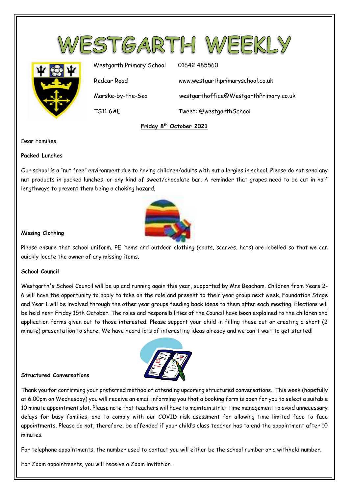

TS11 6AE Tweet: @westgarthSchool

**Friday 8 th October 2021**

Dear Families,

## **Packed Lunches**

Our school is a "nut free" environment due to having children/adults with nut allergies in school. Please do not send any nut products in packed lunches, or any kind of sweet/chocolate bar. A reminder that grapes need to be cut in half lengthways to prevent them being a choking hazard.



## **Missing Clothing**

Please ensure that school uniform, PE items and outdoor clothing (coats, scarves, hats) are labelled so that we can quickly locate the owner of any missing items.

## **School Council**

Westgarth's School Council will be up and running again this year, supported by Mrs Beacham. Children from Years 2- 6 will have the opportunity to apply to take on the role and present to their year group next week. Foundation Stage and Year 1 will be involved through the other year groups feeding back ideas to them after each meeting. Elections will be held next Friday 15th October. The roles and responsibilities of the Council have been explained to the children and application forms given out to those interested. Please support your child in filling these out or creating a short (2 minute) presentation to share. We have heard lots of interesting ideas already and we can't wait to get started!



#### **Structured Conversations**

Thank you for confirming your preferred method of attending upcoming structured conversations. This week (hopefully at 6.00pm on Wednesday) you will receive an email informing you that a booking form is open for you to select a suitable 10 minute appointment slot. Please note that teachers will have to maintain strict time management to avoid unnecessary delays for busy families, and to comply with our COVID risk asessment for allowing time limited face to face appointments. Please do not, therefore, be offended if your child's class teacher has to end the appointment after 10 minutes.

For telephone appointments, the number used to contact you will either be the school number or a withheld number.

For Zoom appointments, you will receive a Zoom invitation.